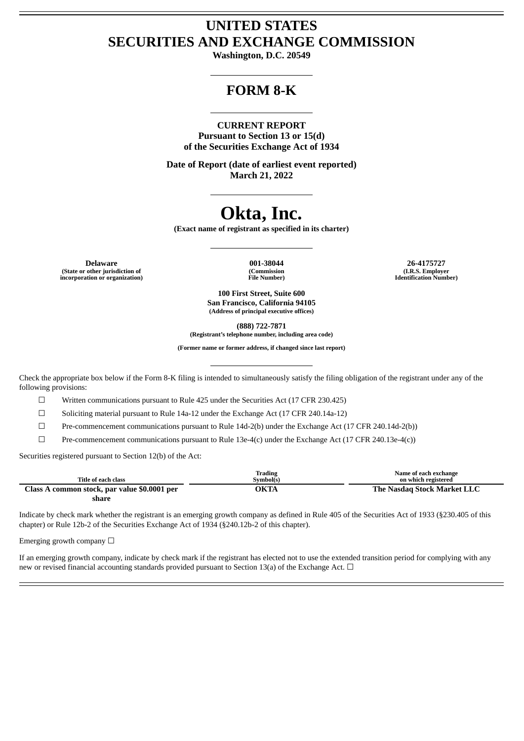# **UNITED STATES SECURITIES AND EXCHANGE COMMISSION**

**Washington, D.C. 20549**

# **FORM 8-K**

# **CURRENT REPORT**

**Pursuant to Section 13 or 15(d) of the Securities Exchange Act of 1934**

**Date of Report (date of earliest event reported) March 21, 2022**

# **Okta, Inc.**

**(Exact name of registrant as specified in its charter)**

**Delaware 001-38044 26-4175727 (State or other jurisdiction of incorporation or organization)**

**(Commission File Number)**

**(I.R.S. Employer Identification Number)**

**100 First Street, Suite 600 San Francisco, California 94105 (Address of principal executive offices)**

**(888) 722-7871**

**(Registrant's telephone number, including area code)**

**(Former name or former address, if changed since last report)**

Check the appropriate box below if the Form 8-K filing is intended to simultaneously satisfy the filing obligation of the registrant under any of the following provisions:

 $\Box$  Written communications pursuant to Rule 425 under the Securities Act (17 CFR 230.425)

☐ Soliciting material pursuant to Rule 14a-12 under the Exchange Act (17 CFR 240.14a-12)

☐ Pre-commencement communications pursuant to Rule 14d-2(b) under the Exchange Act (17 CFR 240.14d-2(b))

 $\Box$  Pre-commencement communications pursuant to Rule 13e-4(c) under the Exchange Act (17 CFR 240.13e-4(c))

Securities registered pursuant to Section 12(b) of the Act:

|                                              | Trading   | Name of each exchange       |
|----------------------------------------------|-----------|-----------------------------|
| Title of each class                          | Symbol(s) | on which registered         |
| Class A common stock, par value \$0.0001 per | ЭКТА      | The Nasdag Stock Market LLC |
| share                                        |           |                             |

Indicate by check mark whether the registrant is an emerging growth company as defined in Rule 405 of the Securities Act of 1933 (§230.405 of this chapter) or Rule 12b-2 of the Securities Exchange Act of 1934 (§240.12b-2 of this chapter).

Emerging growth company  $\Box$ 

If an emerging growth company, indicate by check mark if the registrant has elected not to use the extended transition period for complying with any new or revised financial accounting standards provided pursuant to Section 13(a) of the Exchange Act.  $\Box$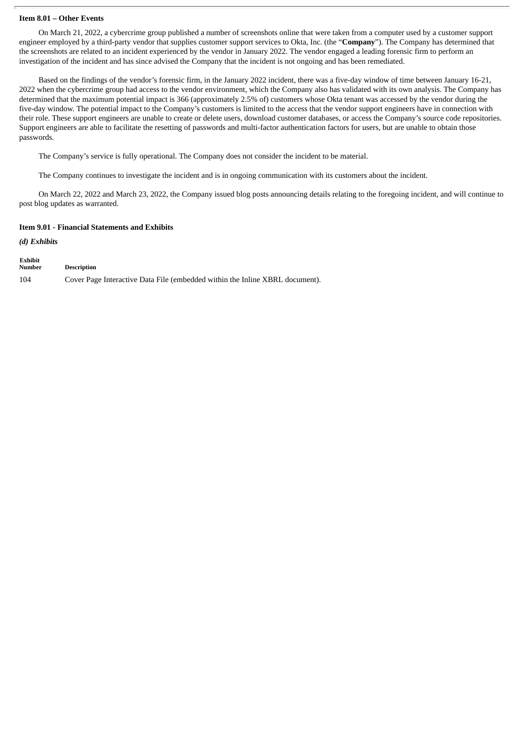#### **Item 8.01 – Other Events**

On March 21, 2022, a cybercrime group published a number of screenshots online that were taken from a computer used by a customer support engineer employed by a third-party vendor that supplies customer support services to Okta, Inc. (the "**Company**"). The Company has determined that the screenshots are related to an incident experienced by the vendor in January 2022. The vendor engaged a leading forensic firm to perform an investigation of the incident and has since advised the Company that the incident is not ongoing and has been remediated.

Based on the findings of the vendor's forensic firm, in the January 2022 incident, there was a five-day window of time between January 16-21, 2022 when the cybercrime group had access to the vendor environment, which the Company also has validated with its own analysis. The Company has determined that the maximum potential impact is 366 (approximately 2.5% of) customers whose Okta tenant was accessed by the vendor during the five-day window. The potential impact to the Company's customers is limited to the access that the vendor support engineers have in connection with their role. These support engineers are unable to create or delete users, download customer databases, or access the Company's source code repositories. Support engineers are able to facilitate the resetting of passwords and multi-factor authentication factors for users, but are unable to obtain those passwords.

The Company's service is fully operational. The Company does not consider the incident to be material.

The Company continues to investigate the incident and is in ongoing communication with its customers about the incident.

On March 22, 2022 and March 23, 2022, the Company issued blog posts announcing details relating to the foregoing incident, and will continue to post blog updates as warranted.

### **Item 9.01 - Financial Statements and Exhibits**

*(d) Exhibits*

| Exhibit<br>Number | <b>Description</b>                                                           |
|-------------------|------------------------------------------------------------------------------|
| 104               | Cover Page Interactive Data File (embedded within the Inline XBRL document). |